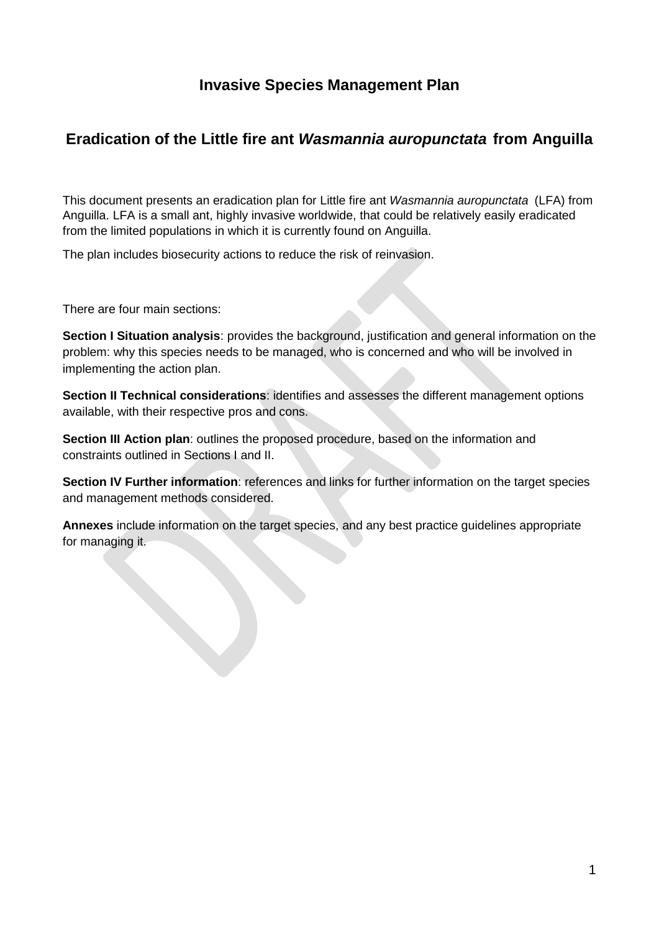# **Invasive Species Management Plan**

# **Eradication of the Little fire ant** *Wasmannia auropunctata* **from Anguilla**

This document presents an eradication plan for Little fire ant *Wasmannia auropunctata* (LFA) from Anguilla. LFA is a small ant, highly invasive worldwide, that could be relatively easily eradicated from the limited populations in which it is currently found on Anguilla.

The plan includes biosecurity actions to reduce the risk of reinvasion.

There are four main sections:

**Section I Situation analysis**: provides the background, justification and general information on the problem: why this species needs to be managed, who is concerned and who will be involved in implementing the action plan.

**Section II Technical considerations**: identifies and assesses the different management options available, with their respective pros and cons.

**Section III Action plan**: outlines the proposed procedure, based on the information and constraints outlined in Sections I and II.

**Section IV Further information**: references and links for further information on the target species and management methods considered.

**Annexes** include information on the target species, and any best practice guidelines appropriate for managing it.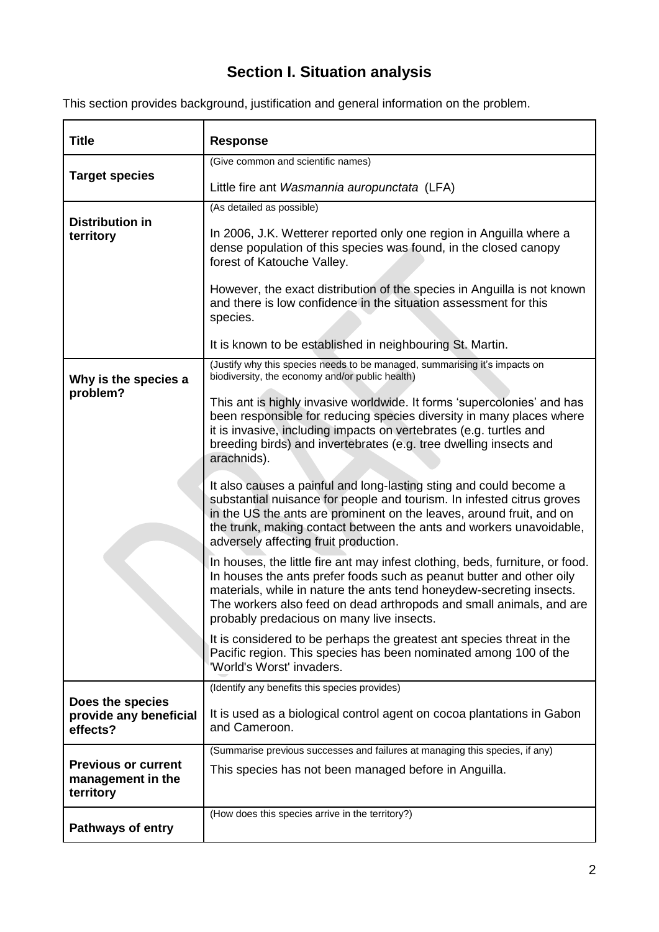# **Section I. Situation analysis**

|  |  |  | This section provides background, justification and general information on the problem. |
|--|--|--|-----------------------------------------------------------------------------------------|
|  |  |  |                                                                                         |

| <b>Title</b>                                                 | <b>Response</b>                                                                                                                                                                                                                                                                                                                                   |
|--------------------------------------------------------------|---------------------------------------------------------------------------------------------------------------------------------------------------------------------------------------------------------------------------------------------------------------------------------------------------------------------------------------------------|
|                                                              | (Give common and scientific names)                                                                                                                                                                                                                                                                                                                |
| <b>Target species</b>                                        | Little fire ant Wasmannia auropunctata (LFA)                                                                                                                                                                                                                                                                                                      |
|                                                              | (As detailed as possible)                                                                                                                                                                                                                                                                                                                         |
| <b>Distribution in</b><br>territory                          | In 2006, J.K. Wetterer reported only one region in Anguilla where a<br>dense population of this species was found, in the closed canopy<br>forest of Katouche Valley.                                                                                                                                                                             |
|                                                              | However, the exact distribution of the species in Anguilla is not known<br>and there is low confidence in the situation assessment for this<br>species.                                                                                                                                                                                           |
|                                                              | It is known to be established in neighbouring St. Martin.                                                                                                                                                                                                                                                                                         |
| Why is the species a                                         | (Justify why this species needs to be managed, summarising it's impacts on<br>biodiversity, the economy and/or public health)                                                                                                                                                                                                                     |
| problem?                                                     | This ant is highly invasive worldwide. It forms 'supercolonies' and has<br>been responsible for reducing species diversity in many places where<br>it is invasive, including impacts on vertebrates (e.g. turtles and<br>breeding birds) and invertebrates (e.g. tree dwelling insects and<br>arachnids).                                         |
|                                                              | It also causes a painful and long-lasting sting and could become a<br>substantial nuisance for people and tourism. In infested citrus groves<br>in the US the ants are prominent on the leaves, around fruit, and on<br>the trunk, making contact between the ants and workers unavoidable,<br>adversely affecting fruit production.              |
|                                                              | In houses, the little fire ant may infest clothing, beds, furniture, or food.<br>In houses the ants prefer foods such as peanut butter and other oily<br>materials, while in nature the ants tend honeydew-secreting insects.<br>The workers also feed on dead arthropods and small animals, and are<br>probably predacious on many live insects. |
|                                                              | It is considered to be perhaps the greatest ant species threat in the<br>Pacific region. This species has been nominated among 100 of the<br>'World's Worst' invaders.                                                                                                                                                                            |
|                                                              | (Identify any benefits this species provides)                                                                                                                                                                                                                                                                                                     |
| Does the species<br>provide any beneficial<br>effects?       | It is used as a biological control agent on cocoa plantations in Gabon<br>and Cameroon.                                                                                                                                                                                                                                                           |
|                                                              | (Summarise previous successes and failures at managing this species, if any)                                                                                                                                                                                                                                                                      |
| <b>Previous or current</b><br>management in the<br>territory | This species has not been managed before in Anguilla.                                                                                                                                                                                                                                                                                             |
| <b>Pathways of entry</b>                                     | (How does this species arrive in the territory?)                                                                                                                                                                                                                                                                                                  |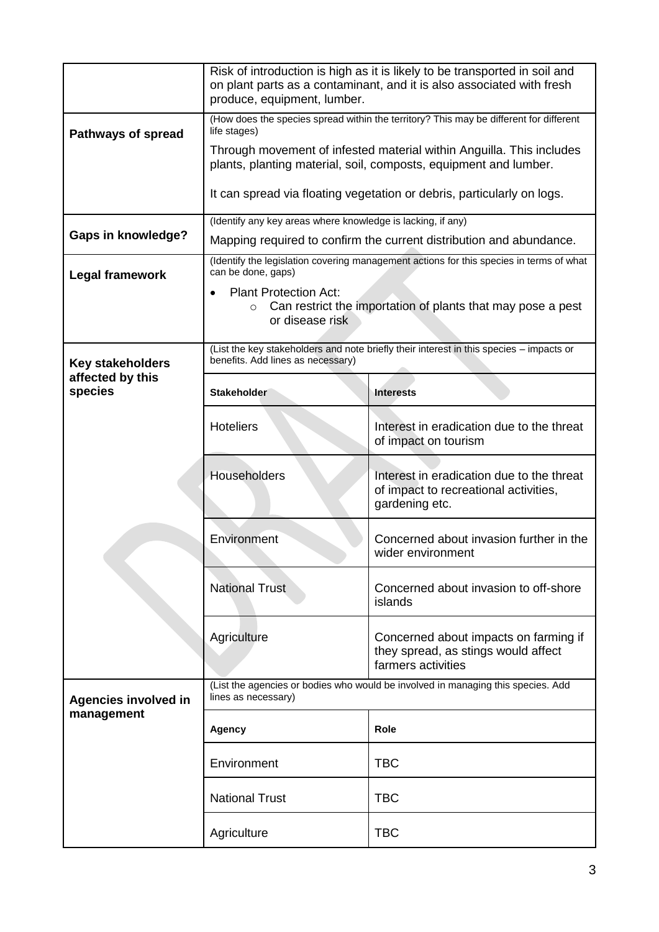|                             | Risk of introduction is high as it is likely to be transported in soil and<br>on plant parts as a contaminant, and it is also associated with fresh<br>produce, equipment, lumber. |                                                                                                      |  |  |
|-----------------------------|------------------------------------------------------------------------------------------------------------------------------------------------------------------------------------|------------------------------------------------------------------------------------------------------|--|--|
| <b>Pathways of spread</b>   | (How does the species spread within the territory? This may be different for different<br>life stages)                                                                             |                                                                                                      |  |  |
|                             | Through movement of infested material within Anguilla. This includes<br>plants, planting material, soil, composts, equipment and lumber.                                           |                                                                                                      |  |  |
|                             |                                                                                                                                                                                    | It can spread via floating vegetation or debris, particularly on logs.                               |  |  |
| <b>Gaps in knowledge?</b>   | (Identify any key areas where knowledge is lacking, if any)                                                                                                                        |                                                                                                      |  |  |
|                             |                                                                                                                                                                                    | Mapping required to confirm the current distribution and abundance.                                  |  |  |
| <b>Legal framework</b>      | can be done, gaps)                                                                                                                                                                 | (Identify the legislation covering management actions for this species in terms of what              |  |  |
|                             | <b>Plant Protection Act:</b><br>$\circ$<br>or disease risk                                                                                                                         | Can restrict the importation of plants that may pose a pest                                          |  |  |
| <b>Key stakeholders</b>     | benefits. Add lines as necessary)                                                                                                                                                  | (List the key stakeholders and note briefly their interest in this species - impacts or              |  |  |
| affected by this<br>species | <b>Stakeholder</b>                                                                                                                                                                 | <b>Interests</b>                                                                                     |  |  |
|                             | <b>Hoteliers</b>                                                                                                                                                                   | Interest in eradication due to the threat<br>of impact on tourism                                    |  |  |
|                             | Householders                                                                                                                                                                       | Interest in eradication due to the threat<br>of impact to recreational activities,<br>gardening etc. |  |  |
|                             | Environment                                                                                                                                                                        | Concerned about invasion further in the<br>wider environment                                         |  |  |
|                             | <b>National Trust</b>                                                                                                                                                              | Concerned about invasion to off-shore<br>islands                                                     |  |  |
|                             | Agriculture<br>Concerned about impacts on farming if<br>they spread, as stings would affect<br>farmers activities                                                                  |                                                                                                      |  |  |
| <b>Agencies involved in</b> | (List the agencies or bodies who would be involved in managing this species. Add<br>lines as necessary)                                                                            |                                                                                                      |  |  |
| management                  | Agency                                                                                                                                                                             | <b>Role</b>                                                                                          |  |  |
|                             | Environment                                                                                                                                                                        | <b>TBC</b>                                                                                           |  |  |
|                             | <b>National Trust</b>                                                                                                                                                              | <b>TBC</b>                                                                                           |  |  |
|                             | <b>TBC</b><br>Agriculture                                                                                                                                                          |                                                                                                      |  |  |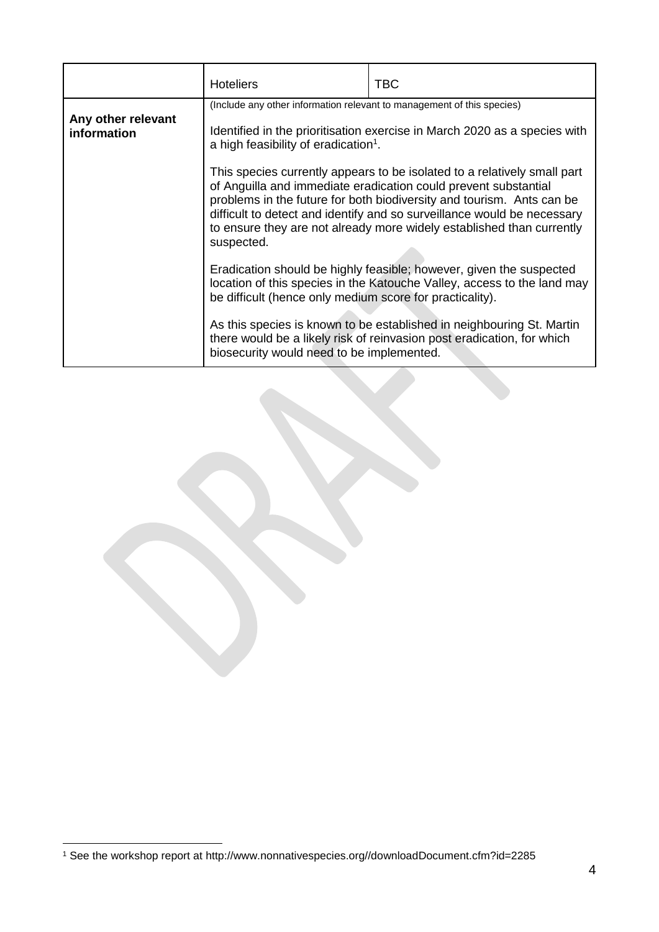|                                   | <b>Hoteliers</b>                                                                                                                                                                                                                                                                                                                                                                       | TBC. |  |
|-----------------------------------|----------------------------------------------------------------------------------------------------------------------------------------------------------------------------------------------------------------------------------------------------------------------------------------------------------------------------------------------------------------------------------------|------|--|
| Any other relevant<br>information | (Include any other information relevant to management of this species)<br>Identified in the prioritisation exercise in March 2020 as a species with<br>a high feasibility of eradication <sup>1</sup> .                                                                                                                                                                                |      |  |
|                                   | This species currently appears to be isolated to a relatively small part<br>of Anguilla and immediate eradication could prevent substantial<br>problems in the future for both biodiversity and tourism. Ants can be<br>difficult to detect and identify and so surveillance would be necessary<br>to ensure they are not already more widely established than currently<br>suspected. |      |  |
|                                   | Eradication should be highly feasible; however, given the suspected<br>location of this species in the Katouche Valley, access to the land may<br>be difficult (hence only medium score for practicality).                                                                                                                                                                             |      |  |
|                                   | As this species is known to be established in neighbouring St. Martin<br>there would be a likely risk of reinvasion post eradication, for which<br>biosecurity would need to be implemented.                                                                                                                                                                                           |      |  |

1

<sup>1</sup> See the workshop report at http://www.nonnativespecies.org//downloadDocument.cfm?id=2285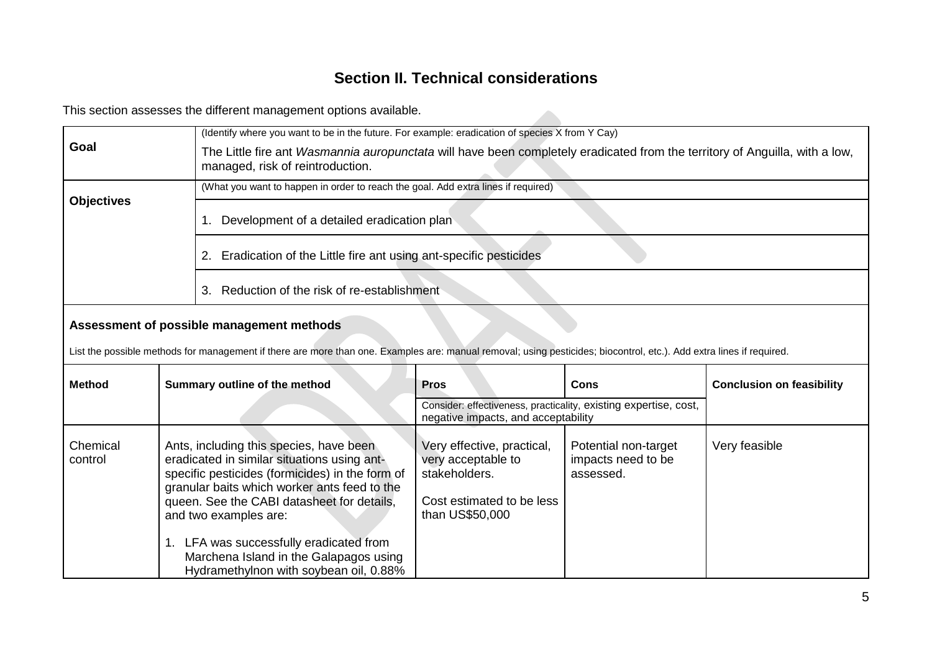# **Section II. Technical considerations**

This section assesses the different management options available.

|                     |                                           | This section assesses the different management options available.                                                                                                                                                                                                  |                                                                                                                   |                                                         |                                  |
|---------------------|-------------------------------------------|--------------------------------------------------------------------------------------------------------------------------------------------------------------------------------------------------------------------------------------------------------------------|-------------------------------------------------------------------------------------------------------------------|---------------------------------------------------------|----------------------------------|
| Goal                |                                           | (Identify where you want to be in the future. For example: eradication of species X from Y Cay)<br>The Little fire ant Wasmannia auropunctata will have been completely eradicated from the territory of Anguilla, with a low,<br>managed, risk of reintroduction. |                                                                                                                   |                                                         |                                  |
|                     |                                           | (What you want to happen in order to reach the goal. Add extra lines if required)                                                                                                                                                                                  |                                                                                                                   |                                                         |                                  |
| <b>Objectives</b>   |                                           | Development of a detailed eradication plan<br>1.                                                                                                                                                                                                                   |                                                                                                                   |                                                         |                                  |
|                     |                                           | Eradication of the Little fire ant using ant-specific pesticides<br>2.                                                                                                                                                                                             |                                                                                                                   |                                                         |                                  |
|                     |                                           | 3. Reduction of the risk of re-establishment                                                                                                                                                                                                                       |                                                                                                                   |                                                         |                                  |
|                     | Assessment of possible management methods |                                                                                                                                                                                                                                                                    |                                                                                                                   |                                                         |                                  |
|                     |                                           | List the possible methods for management if there are more than one. Examples are: manual removal; using pesticides; biocontrol, etc.). Add extra lines if required.                                                                                               |                                                                                                                   |                                                         |                                  |
| <b>Method</b>       |                                           | Summary outline of the method                                                                                                                                                                                                                                      | <b>Pros</b>                                                                                                       | <b>Cons</b>                                             | <b>Conclusion on feasibility</b> |
|                     |                                           |                                                                                                                                                                                                                                                                    | Consider: effectiveness, practicality, existing expertise, cost,<br>negative impacts, and acceptability           |                                                         |                                  |
| Chemical<br>control |                                           | Ants, including this species, have been<br>eradicated in similar situations using ant-<br>specific pesticides (formicides) in the form of<br>granular baits which worker ants feed to the<br>queen. See the CABI datasheet for details,<br>and two examples are:   | Very effective, practical,<br>very acceptable to<br>stakeholders.<br>Cost estimated to be less<br>than US\$50,000 | Potential non-target<br>impacts need to be<br>assessed. | Very feasible                    |
|                     |                                           | 1. LFA was successfully eradicated from<br>Marchena Island in the Galapagos using<br>Hydramethylnon with soybean oil, 0.88%                                                                                                                                        |                                                                                                                   |                                                         |                                  |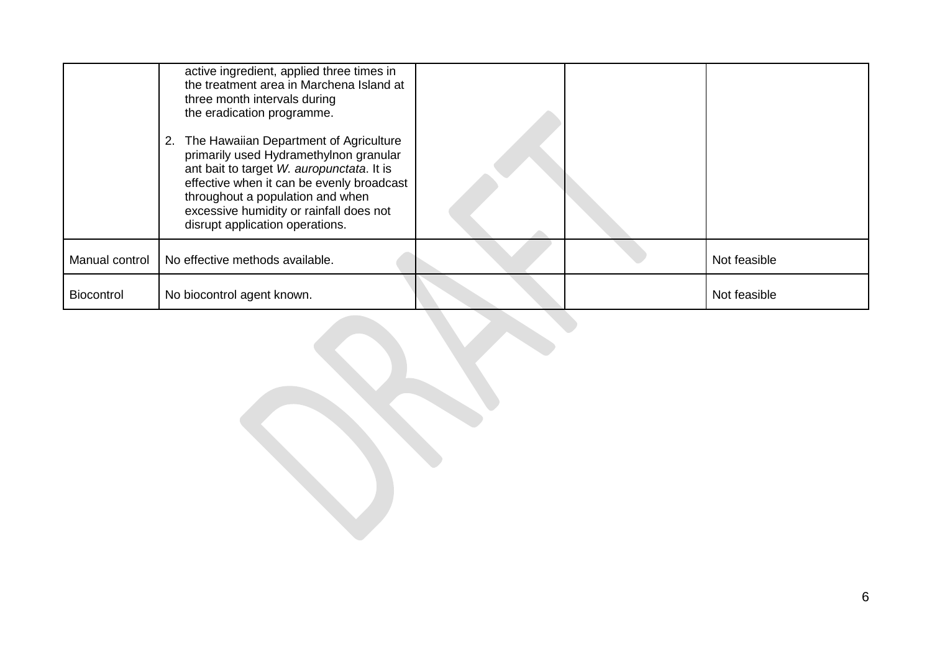|                   | active ingredient, applied three times in<br>the treatment area in Marchena Island at<br>three month intervals during<br>the eradication programme.<br>2. The Hawaiian Department of Agriculture<br>primarily used Hydramethylnon granular<br>ant bait to target W. auropunctata. It is<br>effective when it can be evenly broadcast<br>throughout a population and when<br>excessive humidity or rainfall does not<br>disrupt application operations. |  |              |
|-------------------|--------------------------------------------------------------------------------------------------------------------------------------------------------------------------------------------------------------------------------------------------------------------------------------------------------------------------------------------------------------------------------------------------------------------------------------------------------|--|--------------|
|                   | Manual control   No effective methods available.                                                                                                                                                                                                                                                                                                                                                                                                       |  | Not feasible |
| <b>Biocontrol</b> | No biocontrol agent known.                                                                                                                                                                                                                                                                                                                                                                                                                             |  | Not feasible |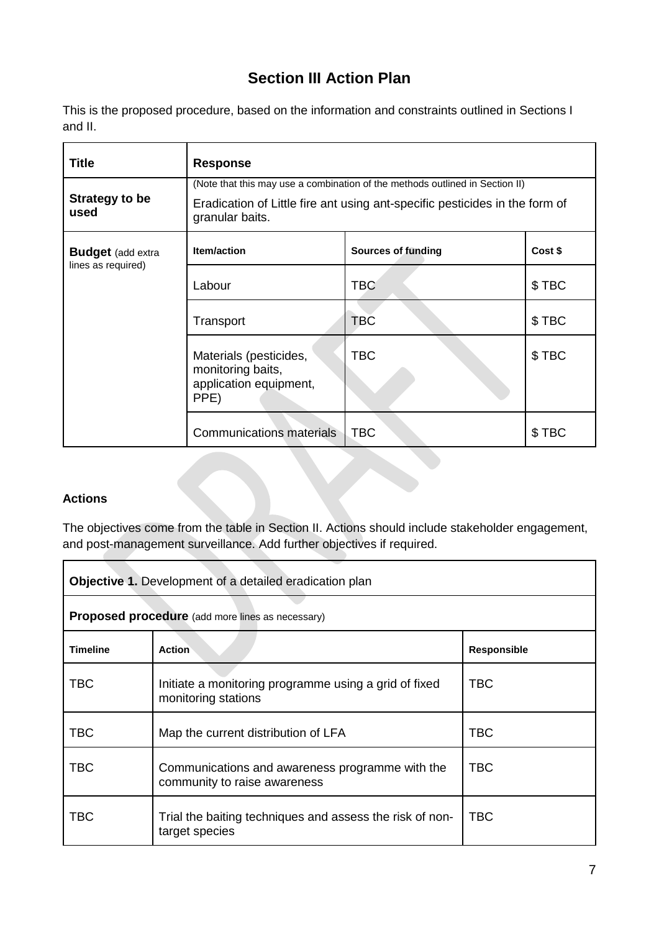# **Section III Action Plan**

This is the proposed procedure, based on the information and constraints outlined in Sections I and II.

| <b>Title</b>                                   | <b>Response</b>                                                                                                                                                                |                           |         |  |  |
|------------------------------------------------|--------------------------------------------------------------------------------------------------------------------------------------------------------------------------------|---------------------------|---------|--|--|
| Strategy to be<br>used                         | (Note that this may use a combination of the methods outlined in Section II)<br>Eradication of Little fire ant using ant-specific pesticides in the form of<br>granular baits. |                           |         |  |  |
| <b>Budget</b> (add extra<br>lines as required) | <b>Item/action</b>                                                                                                                                                             | <b>Sources of funding</b> | Cost \$ |  |  |
|                                                | Labour                                                                                                                                                                         | <b>TBC</b>                | \$TBC   |  |  |
|                                                | Transport                                                                                                                                                                      | <b>TBC</b>                | \$TBC   |  |  |
|                                                | Materials (pesticides,<br>monitoring baits,<br>application equipment,<br>PPE)                                                                                                  | <b>TBC</b>                | \$TBC   |  |  |
|                                                | <b>Communications materials</b>                                                                                                                                                | <b>TBC</b>                | \$TBC   |  |  |

## **Actions**

The objectives come from the table in Section II. Actions should include stakeholder engagement, and post-management surveillance. Add further objectives if required.

| <b>Objective 1.</b> Development of a detailed eradication plan                                         |                                                                                 |                    |  |
|--------------------------------------------------------------------------------------------------------|---------------------------------------------------------------------------------|--------------------|--|
| <b>Proposed procedure</b> (add more lines as necessary)                                                |                                                                                 |                    |  |
| <b>Timeline</b>                                                                                        | <b>Action</b>                                                                   | <b>Responsible</b> |  |
| TBC                                                                                                    | Initiate a monitoring programme using a grid of fixed<br>monitoring stations    | <b>TBC</b>         |  |
| <b>TBC</b>                                                                                             | Map the current distribution of LFA                                             | <b>TBC</b>         |  |
| <b>TBC</b>                                                                                             | Communications and awareness programme with the<br>community to raise awareness | <b>TBC</b>         |  |
| <b>TBC</b><br><b>TBC</b><br>Trial the baiting techniques and assess the risk of non-<br>target species |                                                                                 |                    |  |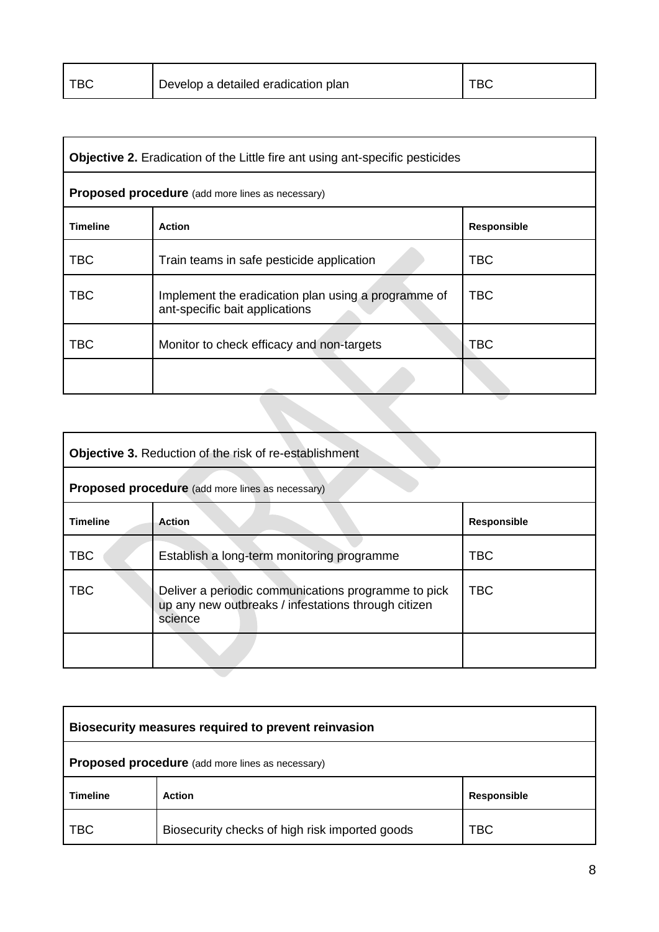| <b>TBC</b><br>Develop a detailed eradication plan |  |
|---------------------------------------------------|--|
|---------------------------------------------------|--|

| <b>Objective 2.</b> Eradication of the Little fire ant using ant-specific pesticides |                                                                                       |                    |  |
|--------------------------------------------------------------------------------------|---------------------------------------------------------------------------------------|--------------------|--|
|                                                                                      | <b>Proposed procedure</b> (add more lines as necessary)                               |                    |  |
| <b>Timeline</b>                                                                      | <b>Action</b>                                                                         | <b>Responsible</b> |  |
| <b>TBC</b>                                                                           | Train teams in safe pesticide application                                             | <b>TBC</b>         |  |
| <b>TBC</b>                                                                           | Implement the eradication plan using a programme of<br>ant-specific bait applications | <b>TBC</b>         |  |
| <b>TBC</b>                                                                           | Monitor to check efficacy and non-targets                                             | TBC                |  |
|                                                                                      |                                                                                       |                    |  |

| <b>Objective 3. Reduction of the risk of re-establishment</b> |                                                                                                                       |                    |  |  |
|---------------------------------------------------------------|-----------------------------------------------------------------------------------------------------------------------|--------------------|--|--|
| <b>Proposed procedure</b> (add more lines as necessary)       |                                                                                                                       |                    |  |  |
| <b>Timeline</b>                                               | <b>Action</b>                                                                                                         | <b>Responsible</b> |  |  |
| <b>TBC</b>                                                    | Establish a long-term monitoring programme                                                                            | <b>TBC</b>         |  |  |
| <b>TBC</b>                                                    | Deliver a periodic communications programme to pick<br>up any new outbreaks / infestations through citizen<br>science | <b>TBC</b>         |  |  |
|                                                               |                                                                                                                       |                    |  |  |

| Biosecurity measures required to prevent reinvasion                 |                              |  |  |  |
|---------------------------------------------------------------------|------------------------------|--|--|--|
| <b>Proposed procedure</b> (add more lines as necessary)             |                              |  |  |  |
| <b>Timeline</b>                                                     | Responsible<br><b>Action</b> |  |  |  |
| TBC<br>Biosecurity checks of high risk imported goods<br><b>TBC</b> |                              |  |  |  |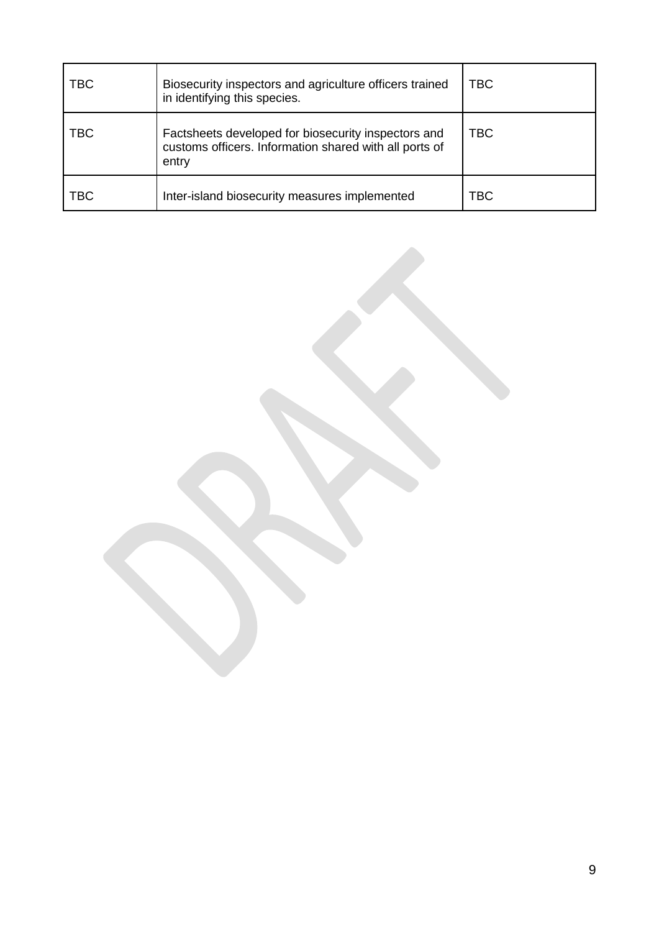| TBC | Biosecurity inspectors and agriculture officers trained<br>in identifying this species.                                | <b>TBC</b> |
|-----|------------------------------------------------------------------------------------------------------------------------|------------|
| TBC | Factsheets developed for biosecurity inspectors and<br>customs officers. Information shared with all ports of<br>entry | <b>TBC</b> |
| ТВС | Inter-island biosecurity measures implemented                                                                          | TBC        |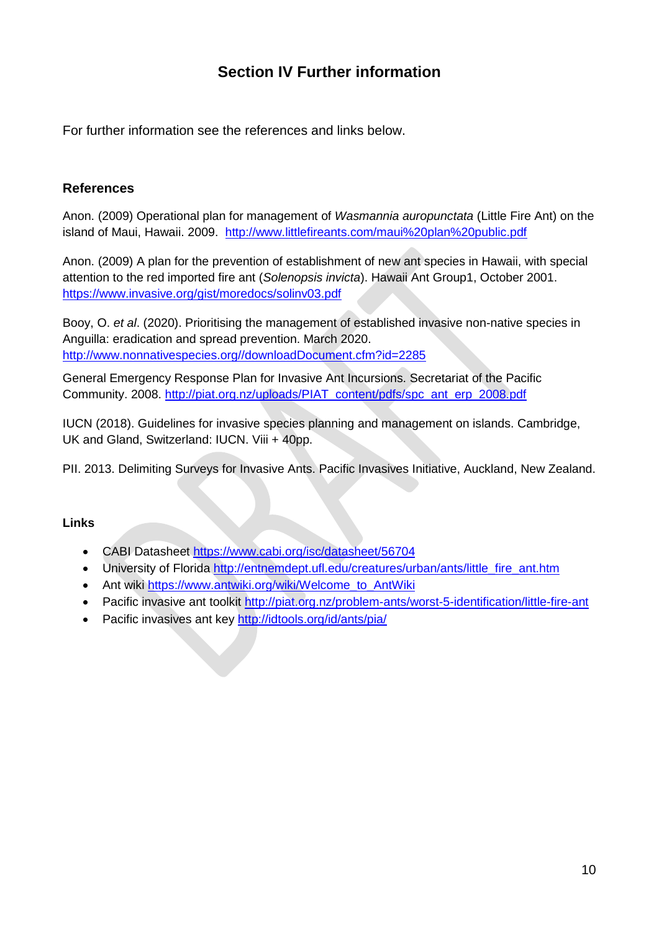# **Section IV Further information**

For further information see the references and links below.

# **References**

Anon. (2009) Operational plan for management of *Wasmannia auropunctata* (Little Fire Ant) on the island of Maui, Hawaii. 2009. <http://www.littlefireants.com/maui%20plan%20public.pdf>

Anon. (2009) A plan for the prevention of establishment of new ant species in Hawaii, with special attention to the red imported fire ant (*Solenopsis invicta*). Hawaii Ant Group1, October 2001. <https://www.invasive.org/gist/moredocs/solinv03.pdf>

Booy, O. *et al*. (2020). Prioritising the management of established invasive non-native species in Anguilla: eradication and spread prevention. March 2020. [http://www.nonnativespecies.org//downloadDocument.cfm?id=2285](http://www.nonnativespecies.org/downloadDocument.cfm?id=2285)

General Emergency Response Plan for Invasive Ant Incursions. Secretariat of the Pacific Community. 2008. [http://piat.org.nz/uploads/PIAT\\_content/pdfs/spc\\_ant\\_erp\\_2008.pdf](http://piat.org.nz/uploads/PIAT_content/pdfs/spc_ant_erp_2008.pdf)

IUCN (2018). Guidelines for invasive species planning and management on islands. Cambridge, UK and Gland, Switzerland: IUCN. Viii + 40pp.

PII. 2013. Delimiting Surveys for Invasive Ants. Pacific Invasives Initiative, Auckland, New Zealand.

### **Links**

- CABI Datasheet<https://www.cabi.org/isc/datasheet/56704>
- University of Florida [http://entnemdept.ufl.edu/creatures/urban/ants/little\\_fire\\_ant.htm](http://entnemdept.ufl.edu/creatures/urban/ants/little_fire_ant.htm)
- Ant wiki [https://www.antwiki.org/wiki/Welcome\\_to\\_AntWiki](https://www.antwiki.org/wiki/Welcome_to_AntWiki)
- Pacific invasive ant toolkit<http://piat.org.nz/problem-ants/worst-5-identification/little-fire-ant>
- Pacific invasives ant key<http://idtools.org/id/ants/pia/>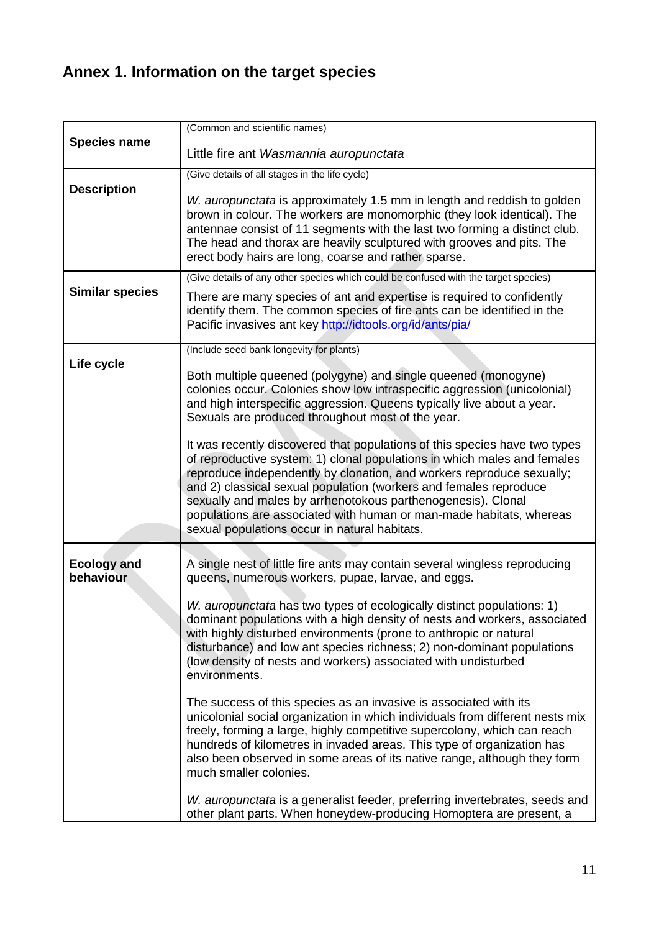# **Annex 1. Information on the target species**

|                                 | (Common and scientific names)                                                                                                                                                                                                                                                                                                                                                                                                                                                                |
|---------------------------------|----------------------------------------------------------------------------------------------------------------------------------------------------------------------------------------------------------------------------------------------------------------------------------------------------------------------------------------------------------------------------------------------------------------------------------------------------------------------------------------------|
| <b>Species name</b>             | Little fire ant Wasmannia auropunctata                                                                                                                                                                                                                                                                                                                                                                                                                                                       |
|                                 | (Give details of all stages in the life cycle)                                                                                                                                                                                                                                                                                                                                                                                                                                               |
| <b>Description</b>              | W. auropunctata is approximately 1.5 mm in length and reddish to golden                                                                                                                                                                                                                                                                                                                                                                                                                      |
|                                 | brown in colour. The workers are monomorphic (they look identical). The                                                                                                                                                                                                                                                                                                                                                                                                                      |
|                                 | antennae consist of 11 segments with the last two forming a distinct club.<br>The head and thorax are heavily sculptured with grooves and pits. The<br>erect body hairs are long, coarse and rather sparse.                                                                                                                                                                                                                                                                                  |
|                                 | (Give details of any other species which could be confused with the target species)                                                                                                                                                                                                                                                                                                                                                                                                          |
| <b>Similar species</b>          | There are many species of ant and expertise is required to confidently<br>identify them. The common species of fire ants can be identified in the<br>Pacific invasives ant key http://idtools.org/id/ants/pia/                                                                                                                                                                                                                                                                               |
|                                 | (Include seed bank longevity for plants)                                                                                                                                                                                                                                                                                                                                                                                                                                                     |
| Life cycle                      | Both multiple queened (polygyne) and single queened (monogyne)<br>colonies occur. Colonies show low intraspecific aggression (unicolonial)<br>and high interspecific aggression. Queens typically live about a year.<br>Sexuals are produced throughout most of the year.                                                                                                                                                                                                                    |
|                                 | It was recently discovered that populations of this species have two types<br>of reproductive system: 1) clonal populations in which males and females<br>reproduce independently by clonation, and workers reproduce sexually;<br>and 2) classical sexual population (workers and females reproduce<br>sexually and males by arrhenotokous parthenogenesis). Clonal<br>populations are associated with human or man-made habitats, whereas<br>sexual populations occur in natural habitats. |
| <b>Ecology and</b><br>behaviour | A single nest of little fire ants may contain several wingless reproducing<br>queens, numerous workers, pupae, larvae, and eggs.                                                                                                                                                                                                                                                                                                                                                             |
|                                 | W. auropunctata has two types of ecologically distinct populations: 1)<br>dominant populations with a high density of nests and workers, associated<br>with highly disturbed environments (prone to anthropic or natural<br>disturbance) and low ant species richness; 2) non-dominant populations<br>(low density of nests and workers) associated with undisturbed<br>environments.                                                                                                        |
|                                 | The success of this species as an invasive is associated with its<br>unicolonial social organization in which individuals from different nests mix<br>freely, forming a large, highly competitive supercolony, which can reach<br>hundreds of kilometres in invaded areas. This type of organization has<br>also been observed in some areas of its native range, although they form<br>much smaller colonies.                                                                               |
|                                 | W. auropunctata is a generalist feeder, preferring invertebrates, seeds and<br>other plant parts. When honeydew-producing Homoptera are present, a                                                                                                                                                                                                                                                                                                                                           |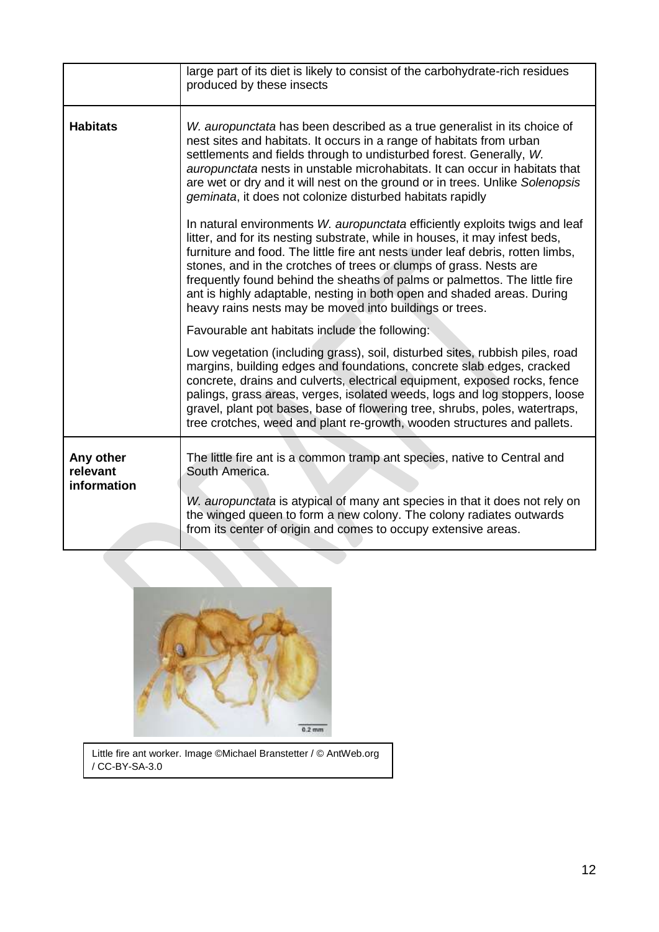|                                      | large part of its diet is likely to consist of the carbohydrate-rich residues<br>produced by these insects                                                                                                                                                                                                                                                                                                                                                                                                                         |  |  |
|--------------------------------------|------------------------------------------------------------------------------------------------------------------------------------------------------------------------------------------------------------------------------------------------------------------------------------------------------------------------------------------------------------------------------------------------------------------------------------------------------------------------------------------------------------------------------------|--|--|
| <b>Habitats</b>                      | W. auropunctata has been described as a true generalist in its choice of<br>nest sites and habitats. It occurs in a range of habitats from urban<br>settlements and fields through to undisturbed forest. Generally, W.<br>auropunctata nests in unstable microhabitats. It can occur in habitats that<br>are wet or dry and it will nest on the ground or in trees. Unlike Solenopsis<br>geminata, it does not colonize disturbed habitats rapidly<br>In natural environments W. auropunctata efficiently exploits twigs and leaf |  |  |
|                                      | litter, and for its nesting substrate, while in houses, it may infest beds,<br>furniture and food. The little fire ant nests under leaf debris, rotten limbs,<br>stones, and in the crotches of trees or clumps of grass. Nests are<br>frequently found behind the sheaths of palms or palmettos. The little fire<br>ant is highly adaptable, nesting in both open and shaded areas. During<br>heavy rains nests may be moved into buildings or trees.                                                                             |  |  |
|                                      | Favourable ant habitats include the following:                                                                                                                                                                                                                                                                                                                                                                                                                                                                                     |  |  |
|                                      | Low vegetation (including grass), soil, disturbed sites, rubbish piles, road<br>margins, building edges and foundations, concrete slab edges, cracked<br>concrete, drains and culverts, electrical equipment, exposed rocks, fence<br>palings, grass areas, verges, isolated weeds, logs and log stoppers, loose<br>gravel, plant pot bases, base of flowering tree, shrubs, poles, watertraps,<br>tree crotches, weed and plant re-growth, wooden structures and pallets.                                                         |  |  |
| Any other<br>relevant<br>information | The little fire ant is a common tramp ant species, native to Central and<br>South America.                                                                                                                                                                                                                                                                                                                                                                                                                                         |  |  |
|                                      | W. auropunctata is atypical of many ant species in that it does not rely on<br>the winged queen to form a new colony. The colony radiates outwards<br>from its center of origin and comes to occupy extensive areas.                                                                                                                                                                                                                                                                                                               |  |  |



Little fire ant worker. Image ©Michael Branstetter / © AntWeb.org / CC-BY-SA-3.0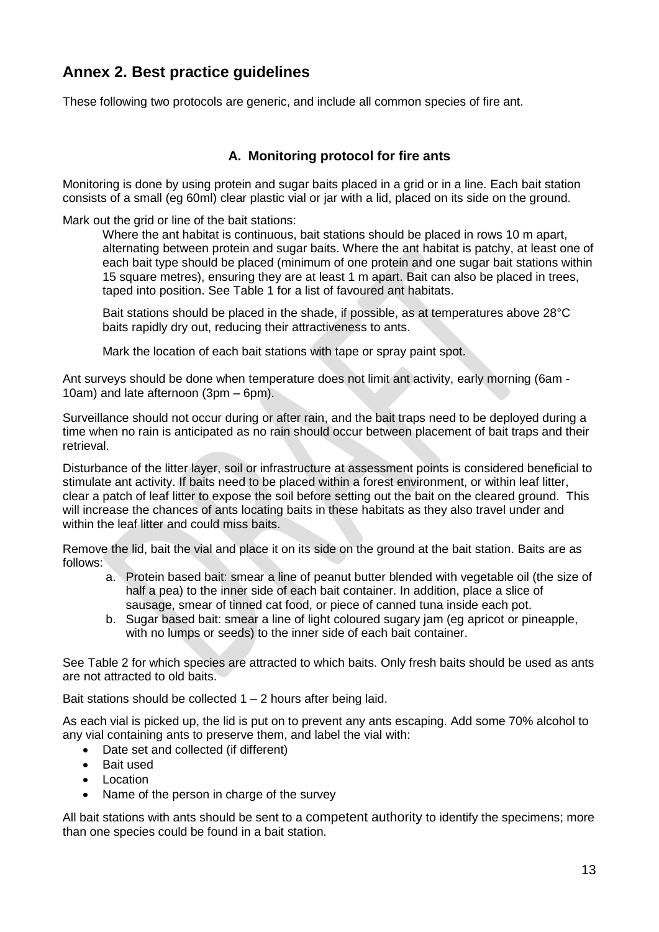# **Annex 2. Best practice guidelines**

These following two protocols are generic, and include all common species of fire ant.

## **A. Monitoring protocol for fire ants**

Monitoring is done by using protein and sugar baits placed in a grid or in a line. Each bait station consists of a small (eg 60ml) clear plastic vial or jar with a lid, placed on its side on the ground.

Mark out the grid or line of the bait stations:

Where the ant habitat is continuous, bait stations should be placed in rows 10 m apart, alternating between protein and sugar baits. Where the ant habitat is patchy, at least one of each bait type should be placed (minimum of one protein and one sugar bait stations within 15 square metres), ensuring they are at least 1 m apart. Bait can also be placed in trees, taped into position. See Table 1 for a list of favoured ant habitats.

Bait stations should be placed in the shade, if possible, as at temperatures above 28°C baits rapidly dry out, reducing their attractiveness to ants.

Mark the location of each bait stations with tape or spray paint spot.

Ant surveys should be done when temperature does not limit ant activity, early morning (6am - 10am) and late afternoon (3pm – 6pm).

Surveillance should not occur during or after rain, and the bait traps need to be deployed during a time when no rain is anticipated as no rain should occur between placement of bait traps and their retrieval.

Disturbance of the litter layer, soil or infrastructure at assessment points is considered beneficial to stimulate ant activity. If baits need to be placed within a forest environment, or within leaf litter, clear a patch of leaf litter to expose the soil before setting out the bait on the cleared ground. This will increase the chances of ants locating baits in these habitats as they also travel under and within the leaf litter and could miss baits.

Remove the lid, bait the vial and place it on its side on the ground at the bait station. Baits are as follows:

- a. Protein based bait: smear a line of peanut butter blended with vegetable oil (the size of half a pea) to the inner side of each bait container. In addition, place a slice of sausage, smear of tinned cat food, or piece of canned tuna inside each pot.
- b. Sugar based bait: smear a line of light coloured sugary jam (eg apricot or pineapple, with no lumps or seeds) to the inner side of each bait container.

See Table 2 for which species are attracted to which baits. Only fresh baits should be used as ants are not attracted to old baits.

Bait stations should be collected  $1 - 2$  hours after being laid.

As each vial is picked up, the lid is put on to prevent any ants escaping. Add some 70% alcohol to any vial containing ants to preserve them, and label the vial with:

- Date set and collected (if different)
- Bait used
- Location
- Name of the person in charge of the survey

All bait stations with ants should be sent to a competent authority to identify the specimens; more than one species could be found in a bait station.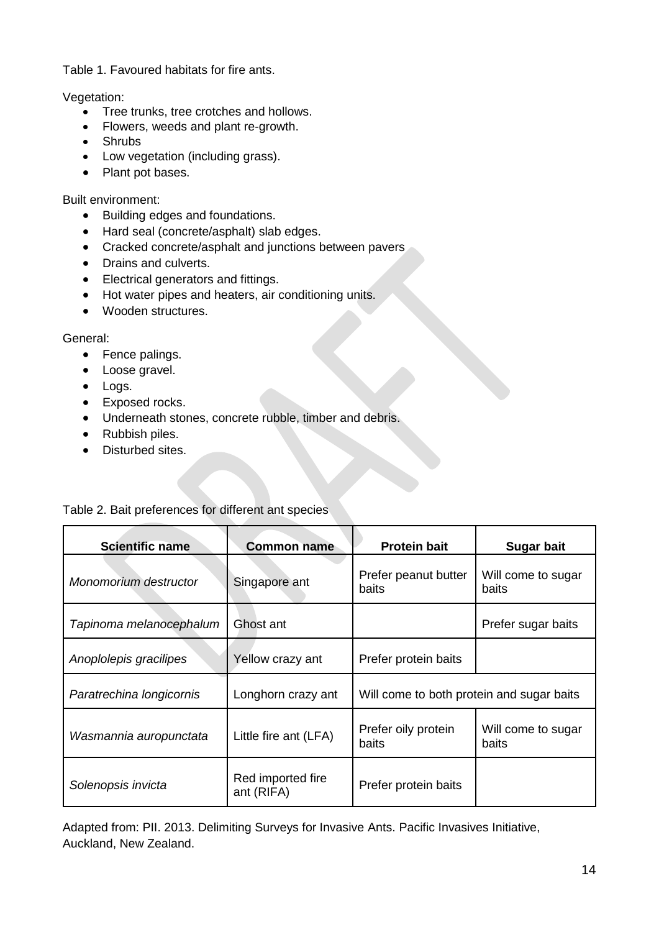Table 1. Favoured habitats for fire ants.

Vegetation:

- Tree trunks, tree crotches and hollows.
- Flowers, weeds and plant re-growth.
- Shrubs
- Low vegetation (including grass).
- Plant pot bases.

Built environment:

- Building edges and foundations.
- Hard seal (concrete/asphalt) slab edges.
- Cracked concrete/asphalt and junctions between pavers
- Drains and culverts.
- Electrical generators and fittings.
- Hot water pipes and heaters, air conditioning units.
- Wooden structures.

General:

- Fence palings.
- Loose gravel.
- Logs.
- Exposed rocks.
- Underneath stones, concrete rubble, timber and debris.
- Rubbish piles.
- Disturbed sites.

### Table 2. Bait preferences for different ant species

| <b>Scientific name</b>   | <b>Common name</b>              | <b>Protein bait</b>                       | <b>Sugar bait</b>           |
|--------------------------|---------------------------------|-------------------------------------------|-----------------------------|
| Monomorium destructor    | Singapore ant                   | Prefer peanut butter<br>baits             | Will come to sugar<br>baits |
| Tapinoma melanocephalum  | Ghost ant                       |                                           | Prefer sugar baits          |
| Anoplolepis gracilipes   | Yellow crazy ant                | Prefer protein baits                      |                             |
| Paratrechina longicornis | Longhorn crazy ant              | Will come to both protein and sugar baits |                             |
| Wasmannia auropunctata   | Little fire ant (LFA)           | Prefer oily protein<br>baits              | Will come to sugar<br>baits |
| Solenopsis invicta       | Red imported fire<br>ant (RIFA) | Prefer protein baits                      |                             |

Adapted from: PII. 2013. Delimiting Surveys for Invasive Ants. Pacific Invasives Initiative, Auckland, New Zealand.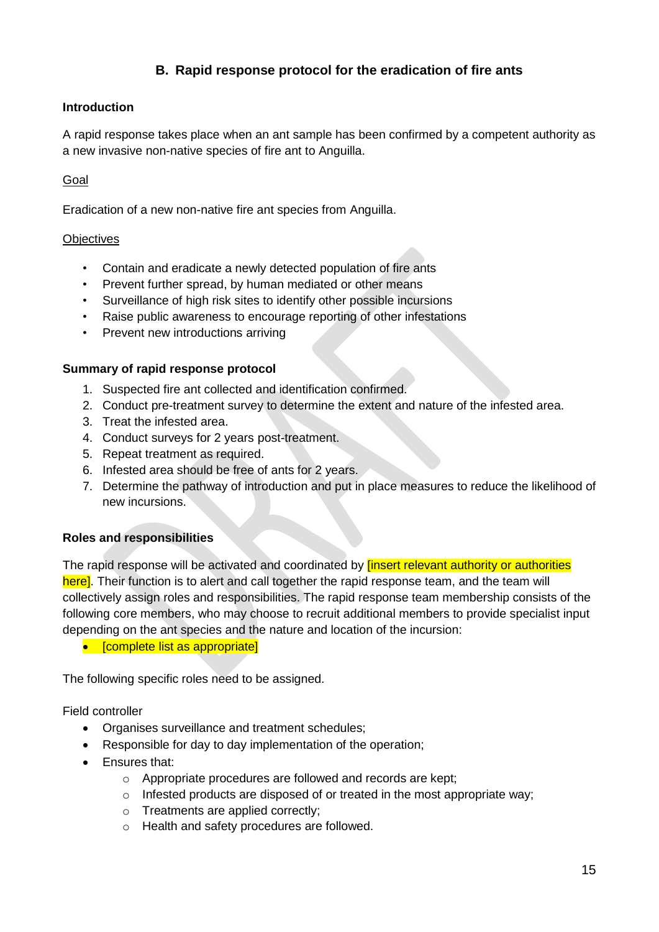# **B. Rapid response protocol for the eradication of fire ants**

### **Introduction**

A rapid response takes place when an ant sample has been confirmed by a competent authority as a new invasive non-native species of fire ant to Anguilla.

### Goal

Eradication of a new non-native fire ant species from Anguilla.

#### **Objectives**

- Contain and eradicate a newly detected population of fire ants
- Prevent further spread, by human mediated or other means
- Surveillance of high risk sites to identify other possible incursions
- Raise public awareness to encourage reporting of other infestations
- Prevent new introductions arriving

#### **Summary of rapid response protocol**

- 1. Suspected fire ant collected and identification confirmed.
- 2. Conduct pre-treatment survey to determine the extent and nature of the infested area.
- 3. Treat the infested area.
- 4. Conduct surveys for 2 years post-treatment.
- 5. Repeat treatment as required.
- 6. Infested area should be free of ants for 2 years.
- 7. Determine the pathway of introduction and put in place measures to reduce the likelihood of new incursions.

### **Roles and responsibilities**

The rapid response will be activated and coordinated by **linsert relevant authority or authorities** here]. Their function is to alert and call together the rapid response team, and the team will collectively assign roles and responsibilities. The rapid response team membership consists of the following core members, who may choose to recruit additional members to provide specialist input depending on the ant species and the nature and location of the incursion:

• [complete list as appropriate]

The following specific roles need to be assigned.

Field controller

- Organises surveillance and treatment schedules:
- Responsible for day to day implementation of the operation;
- Ensures that:
	- o Appropriate procedures are followed and records are kept;
	- o Infested products are disposed of or treated in the most appropriate way;
	- o Treatments are applied correctly;
	- o Health and safety procedures are followed.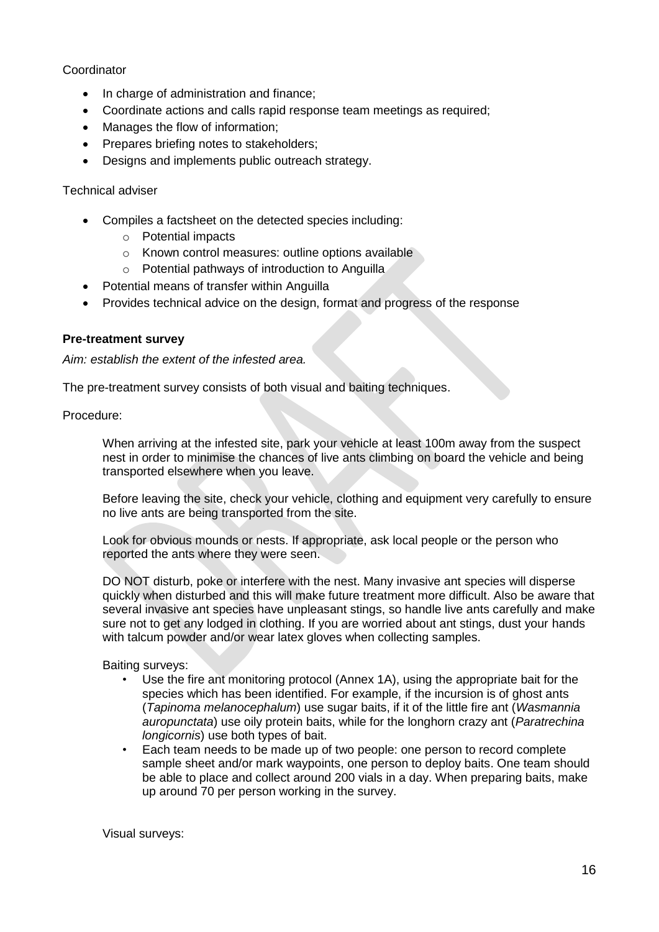#### Coordinator

- In charge of administration and finance:
- Coordinate actions and calls rapid response team meetings as required;
- Manages the flow of information:
- Prepares briefing notes to stakeholders;
- Designs and implements public outreach strategy.

#### Technical adviser

- Compiles a factsheet on the detected species including:
	- o Potential impacts
	- o Known control measures: outline options available
	- o Potential pathways of introduction to Anguilla
- Potential means of transfer within Anguilla
- Provides technical advice on the design, format and progress of the response

#### **Pre-treatment survey**

*Aim: establish the extent of the infested area.*

The pre-treatment survey consists of both visual and baiting techniques.

Procedure:

When arriving at the infested site, park your vehicle at least 100m away from the suspect nest in order to minimise the chances of live ants climbing on board the vehicle and being transported elsewhere when you leave.

Before leaving the site, check your vehicle, clothing and equipment very carefully to ensure no live ants are being transported from the site.

Look for obvious mounds or nests. If appropriate, ask local people or the person who reported the ants where they were seen.

DO NOT disturb, poke or interfere with the nest. Many invasive ant species will disperse quickly when disturbed and this will make future treatment more difficult. Also be aware that several invasive ant species have unpleasant stings, so handle live ants carefully and make sure not to get any lodged in clothing. If you are worried about ant stings, dust your hands with talcum powder and/or wear latex gloves when collecting samples.

Baiting surveys:

- Use the fire ant monitoring protocol (Annex 1A), using the appropriate bait for the species which has been identified. For example, if the incursion is of ghost ants (*Tapinoma melanocephalum*) use sugar baits, if it of the little fire ant (*Wasmannia auropunctata*) use oily protein baits, while for the longhorn crazy ant (*Paratrechina longicornis*) use both types of bait.
- Each team needs to be made up of two people: one person to record complete sample sheet and/or mark waypoints, one person to deploy baits. One team should be able to place and collect around 200 vials in a day. When preparing baits, make up around 70 per person working in the survey.

Visual surveys: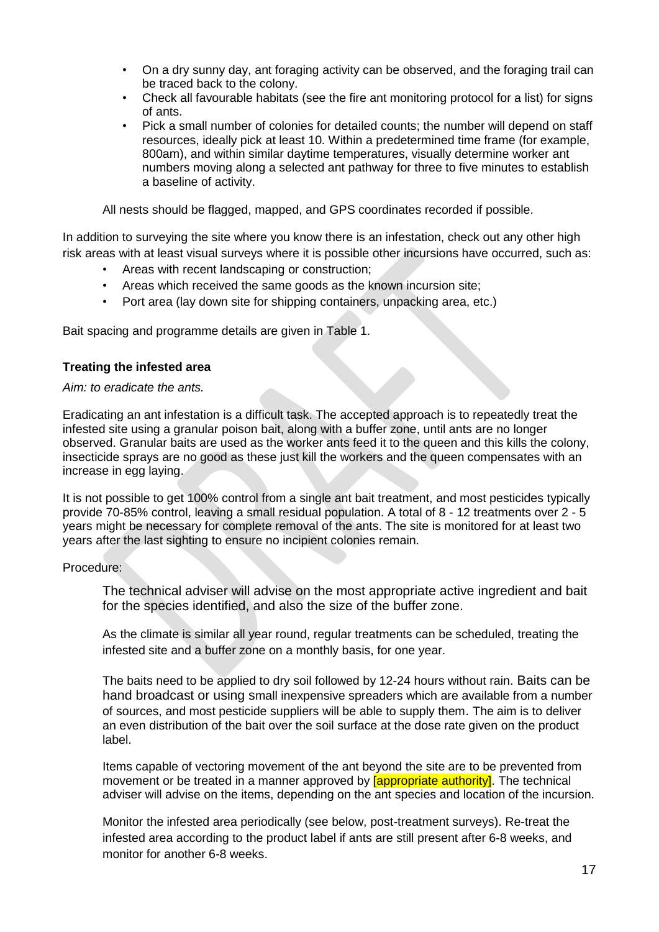- On a dry sunny day, ant foraging activity can be observed, and the foraging trail can be traced back to the colony.
- Check all favourable habitats (see the fire ant monitoring protocol for a list) for signs of ants.
- Pick a small number of colonies for detailed counts; the number will depend on staff resources, ideally pick at least 10. Within a predetermined time frame (for example, 800am), and within similar daytime temperatures, visually determine worker ant numbers moving along a selected ant pathway for three to five minutes to establish a baseline of activity.

All nests should be flagged, mapped, and GPS coordinates recorded if possible.

In addition to surveying the site where you know there is an infestation, check out any other high risk areas with at least visual surveys where it is possible other incursions have occurred, such as:

- Areas with recent landscaping or construction;
- Areas which received the same goods as the known incursion site;
- Port area (lay down site for shipping containers, unpacking area, etc.)

Bait spacing and programme details are given in Table 1.

#### **Treating the infested area**

*Aim: to eradicate the ants.*

Eradicating an ant infestation is a difficult task. The accepted approach is to repeatedly treat the infested site using a granular poison bait, along with a buffer zone, until ants are no longer observed. Granular baits are used as the worker ants feed it to the queen and this kills the colony, insecticide sprays are no good as these just kill the workers and the queen compensates with an increase in egg laying.

It is not possible to get 100% control from a single ant bait treatment, and most pesticides typically provide 70-85% control, leaving a small residual population. A total of 8 - 12 treatments over 2 - 5 years might be necessary for complete removal of the ants. The site is monitored for at least two years after the last sighting to ensure no incipient colonies remain.

#### Procedure:

The technical adviser will advise on the most appropriate active ingredient and bait for the species identified, and also the size of the buffer zone.

As the climate is similar all year round, regular treatments can be scheduled, treating the infested site and a buffer zone on a monthly basis, for one year.

The baits need to be applied to dry soil followed by 12-24 hours without rain. Baits can be hand broadcast or using small inexpensive spreaders which are available from a number of sources, and most pesticide suppliers will be able to supply them. The aim is to deliver an even distribution of the bait over the soil surface at the dose rate given on the product label.

Items capable of vectoring movement of the ant beyond the site are to be prevented from movement or be treated in a manner approved by **[appropriate authority]**. The technical adviser will advise on the items, depending on the ant species and location of the incursion.

Monitor the infested area periodically (see below, post-treatment surveys). Re-treat the infested area according to the product label if ants are still present after 6-8 weeks, and monitor for another 6-8 weeks.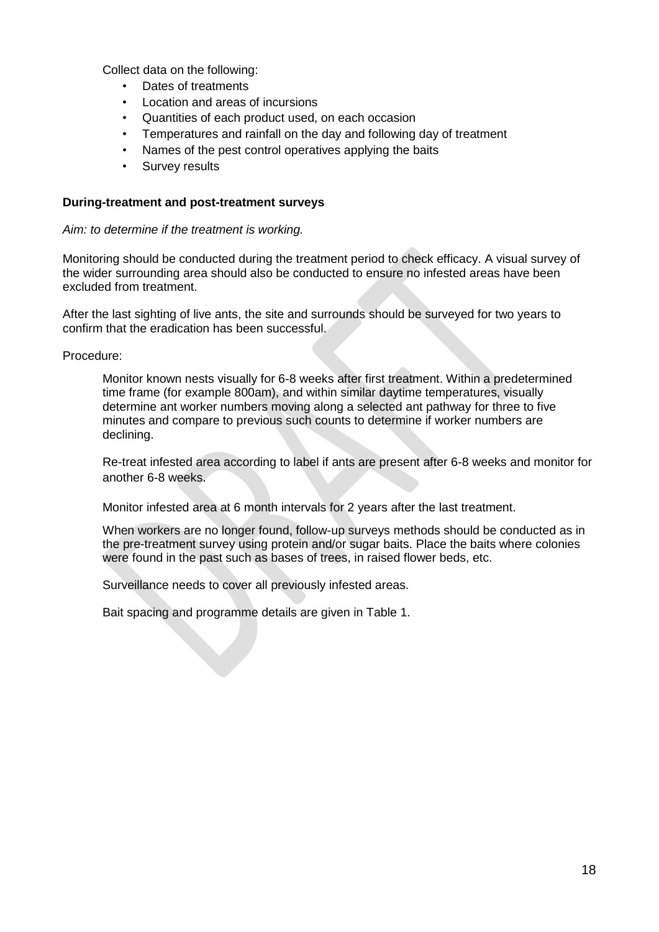Collect data on the following:

- Dates of treatments
- Location and areas of incursions
- Quantities of each product used, on each occasion
- Temperatures and rainfall on the day and following day of treatment
- Names of the pest control operatives applying the baits
- Survey results

#### **During-treatment and post-treatment surveys**

#### *Aim: to determine if the treatment is working.*

Monitoring should be conducted during the treatment period to check efficacy. A visual survey of the wider surrounding area should also be conducted to ensure no infested areas have been excluded from treatment.

After the last sighting of live ants, the site and surrounds should be surveyed for two years to confirm that the eradication has been successful.

Procedure:

Monitor known nests visually for 6-8 weeks after first treatment. Within a predetermined time frame (for example 800am), and within similar daytime temperatures, visually determine ant worker numbers moving along a selected ant pathway for three to five minutes and compare to previous such counts to determine if worker numbers are declining.

Re-treat infested area according to label if ants are present after 6-8 weeks and monitor for another 6-8 weeks.

Monitor infested area at 6 month intervals for 2 years after the last treatment.

When workers are no longer found, follow-up surveys methods should be conducted as in the pre-treatment survey using protein and/or sugar baits. Place the baits where colonies were found in the past such as bases of trees, in raised flower beds, etc.

Surveillance needs to cover all previously infested areas.

Bait spacing and programme details are given in Table 1.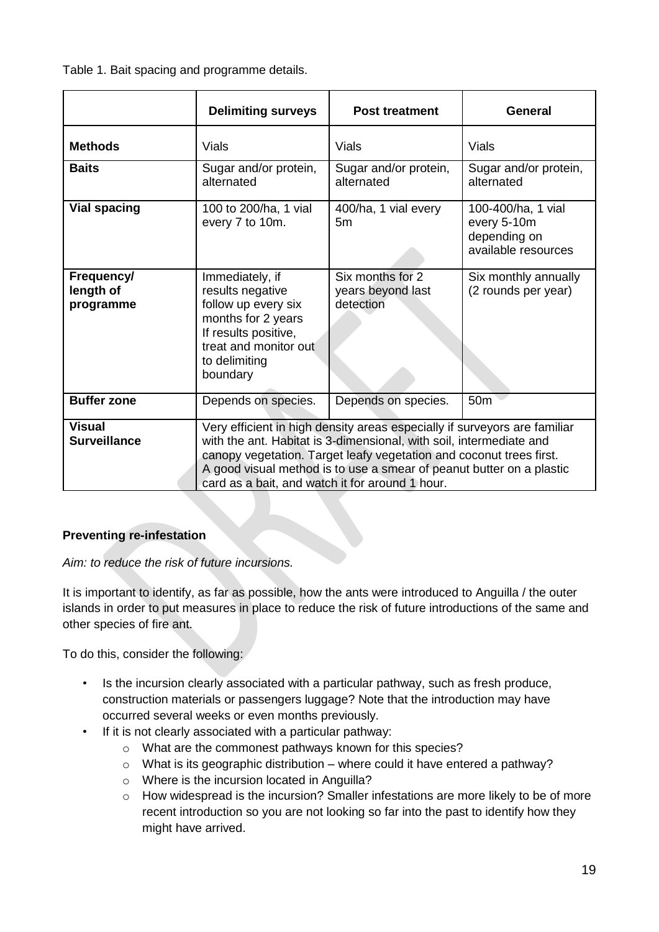Table 1. Bait spacing and programme details.

|                                      | <b>Delimiting surveys</b>                                                                                                                                                                                                                                                                                                                          | <b>Post treatment</b>                              | <b>General</b>                                                           |
|--------------------------------------|----------------------------------------------------------------------------------------------------------------------------------------------------------------------------------------------------------------------------------------------------------------------------------------------------------------------------------------------------|----------------------------------------------------|--------------------------------------------------------------------------|
| <b>Methods</b>                       | Vials                                                                                                                                                                                                                                                                                                                                              | <b>Vials</b>                                       | <b>Vials</b>                                                             |
| <b>Baits</b>                         | Sugar and/or protein,<br>alternated                                                                                                                                                                                                                                                                                                                | Sugar and/or protein,<br>alternated                | Sugar and/or protein,<br>alternated                                      |
| <b>Vial spacing</b>                  | 100 to 200/ha, 1 vial<br>every 7 to 10m.                                                                                                                                                                                                                                                                                                           | 400/ha, 1 vial every<br>5m                         | 100-400/ha, 1 vial<br>every 5-10m<br>depending on<br>available resources |
| Frequency/<br>length of<br>programme | Immediately, if<br>results negative<br>follow up every six<br>months for 2 years<br>If results positive,<br>treat and monitor out<br>to delimiting<br>boundary                                                                                                                                                                                     | Six months for 2<br>years beyond last<br>detection | Six monthly annually<br>(2 rounds per year)                              |
| <b>Buffer zone</b>                   | Depends on species.                                                                                                                                                                                                                                                                                                                                | Depends on species.                                | 50 <sub>m</sub>                                                          |
| <b>Visual</b><br><b>Surveillance</b> | Very efficient in high density areas especially if surveyors are familiar<br>with the ant. Habitat is 3-dimensional, with soil, intermediate and<br>canopy vegetation. Target leafy vegetation and coconut trees first.<br>A good visual method is to use a smear of peanut butter on a plastic<br>card as a bait, and watch it for around 1 hour. |                                                    |                                                                          |

### **Preventing re-infestation**

*Aim: to reduce the risk of future incursions.*

It is important to identify, as far as possible, how the ants were introduced to Anguilla / the outer islands in order to put measures in place to reduce the risk of future introductions of the same and other species of fire ant.

To do this, consider the following:

- Is the incursion clearly associated with a particular pathway, such as fresh produce, construction materials or passengers luggage? Note that the introduction may have occurred several weeks or even months previously.
- If it is not clearly associated with a particular pathway:
	- o What are the commonest pathways known for this species?
	- $\circ$  What is its geographic distribution where could it have entered a pathway?
	- o Where is the incursion located in Anguilla?
	- o How widespread is the incursion? Smaller infestations are more likely to be of more recent introduction so you are not looking so far into the past to identify how they might have arrived.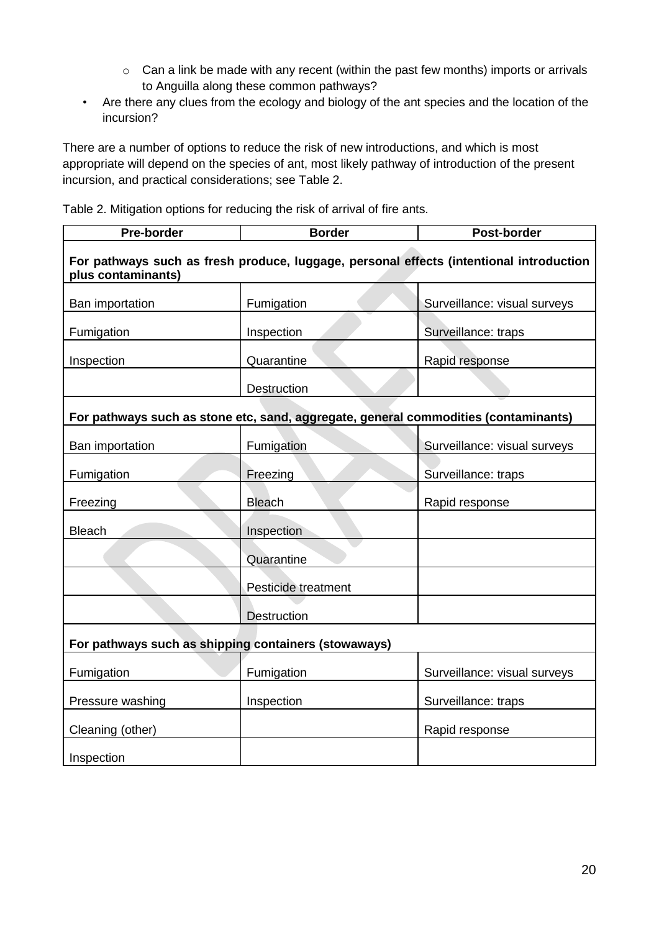- o Can a link be made with any recent (within the past few months) imports or arrivals to Anguilla along these common pathways?
- Are there any clues from the ecology and biology of the ant species and the location of the incursion?

There are a number of options to reduce the risk of new introductions, and which is most appropriate will depend on the species of ant, most likely pathway of introduction of the present incursion, and practical considerations; see Table 2.

Table 2. Mitigation options for reducing the risk of arrival of fire ants.

| Pre-border                                                                                                    | <b>Border</b>                                                                       | Post-border                  |  |  |
|---------------------------------------------------------------------------------------------------------------|-------------------------------------------------------------------------------------|------------------------------|--|--|
| For pathways such as fresh produce, luggage, personal effects (intentional introduction<br>plus contaminants) |                                                                                     |                              |  |  |
| Ban importation                                                                                               | Fumigation                                                                          | Surveillance: visual surveys |  |  |
| Fumigation                                                                                                    | Inspection                                                                          | Surveillance: traps          |  |  |
| Inspection                                                                                                    | Quarantine                                                                          | Rapid response               |  |  |
|                                                                                                               | Destruction                                                                         |                              |  |  |
|                                                                                                               | For pathways such as stone etc, sand, aggregate, general commodities (contaminants) |                              |  |  |
| Ban importation                                                                                               | Fumigation                                                                          | Surveillance: visual surveys |  |  |
| Fumigation                                                                                                    | Freezing                                                                            | Surveillance: traps          |  |  |
| Freezing                                                                                                      | <b>Bleach</b>                                                                       | Rapid response               |  |  |
| <b>Bleach</b>                                                                                                 | Inspection                                                                          |                              |  |  |
|                                                                                                               | Quarantine                                                                          |                              |  |  |
|                                                                                                               | Pesticide treatment                                                                 |                              |  |  |
|                                                                                                               | <b>Destruction</b>                                                                  |                              |  |  |
| For pathways such as shipping containers (stowaways)                                                          |                                                                                     |                              |  |  |
| Fumigation                                                                                                    | Fumigation                                                                          | Surveillance: visual surveys |  |  |
| Pressure washing                                                                                              | Inspection                                                                          | Surveillance: traps          |  |  |
| Cleaning (other)                                                                                              |                                                                                     | Rapid response               |  |  |
| Inspection                                                                                                    |                                                                                     |                              |  |  |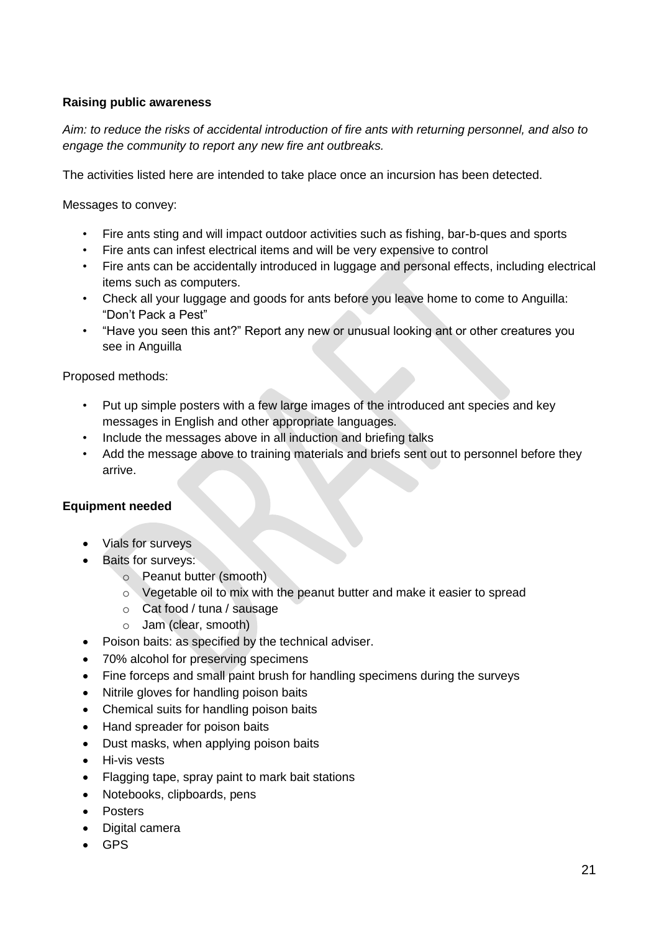### **Raising public awareness**

*Aim: to reduce the risks of accidental introduction of fire ants with returning personnel, and also to engage the community to report any new fire ant outbreaks.* 

The activities listed here are intended to take place once an incursion has been detected.

Messages to convey:

- Fire ants sting and will impact outdoor activities such as fishing, bar-b-ques and sports
- Fire ants can infest electrical items and will be very expensive to control
- Fire ants can be accidentally introduced in luggage and personal effects, including electrical items such as computers.
- Check all your luggage and goods for ants before you leave home to come to Anguilla: "Don't Pack a Pest"
- "Have you seen this ant?" Report any new or unusual looking ant or other creatures you see in Anguilla

Proposed methods:

- Put up simple posters with a few large images of the introduced ant species and key messages in English and other appropriate languages.
- Include the messages above in all induction and briefing talks
- Add the message above to training materials and briefs sent out to personnel before they arrive.

#### **Equipment needed**

- Vials for surveys
- Baits for surveys:
	- o Peanut butter (smooth)
	- o Vegetable oil to mix with the peanut butter and make it easier to spread
	- o Cat food / tuna / sausage
	- o Jam (clear, smooth)
- Poison baits: as specified by the technical adviser.
- 70% alcohol for preserving specimens
- Fine forceps and small paint brush for handling specimens during the surveys
- Nitrile gloves for handling poison baits
- Chemical suits for handling poison baits
- Hand spreader for poison baits
- Dust masks, when applying poison baits
- **•** Hi-vis vests
- Flagging tape, spray paint to mark bait stations
- Notebooks, clipboards, pens
- Posters
- Digital camera
- GPS